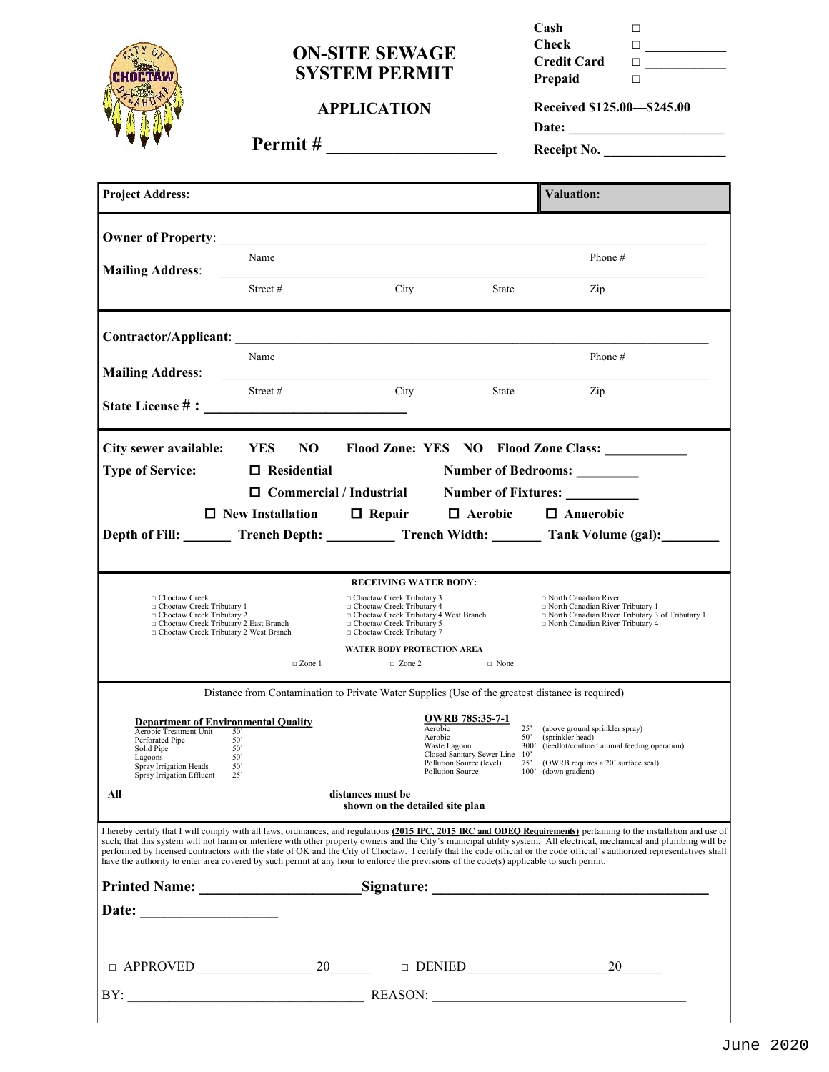

## **ON-SITE SEWAGE SYSTEM PERMIT**

**APPLICATION**

| Cash               | п |
|--------------------|---|
| Check              | П |
| <b>Credit Card</b> | П |
| Prepaid            | п |

**Received \$125.00—\$245.00 Date: \_\_\_\_\_\_\_\_\_\_\_\_\_\_\_\_\_\_\_\_\_\_\_**

**Permit # \_\_\_\_\_\_\_\_\_\_\_\_\_\_\_\_\_\_**

| Receipt No. |  |  |
|-------------|--|--|
|             |  |  |

| <b>Project Address:</b>                                                                                                                                                                                                                                                                                                                                                                                                                                                                                                                                                                                                                                             |                                                                                                  |                                                                                                                                                                                                             |                                                                                                                                                | <b>Valuation:</b>                                                                                                                                                                                           |  |
|---------------------------------------------------------------------------------------------------------------------------------------------------------------------------------------------------------------------------------------------------------------------------------------------------------------------------------------------------------------------------------------------------------------------------------------------------------------------------------------------------------------------------------------------------------------------------------------------------------------------------------------------------------------------|--------------------------------------------------------------------------------------------------|-------------------------------------------------------------------------------------------------------------------------------------------------------------------------------------------------------------|------------------------------------------------------------------------------------------------------------------------------------------------|-------------------------------------------------------------------------------------------------------------------------------------------------------------------------------------------------------------|--|
| <b>Owner of Property:</b>                                                                                                                                                                                                                                                                                                                                                                                                                                                                                                                                                                                                                                           |                                                                                                  | the control of the control of the control of the control of the control of the control of                                                                                                                   |                                                                                                                                                |                                                                                                                                                                                                             |  |
| <b>Mailing Address:</b>                                                                                                                                                                                                                                                                                                                                                                                                                                                                                                                                                                                                                                             | Name                                                                                             |                                                                                                                                                                                                             |                                                                                                                                                | Phone #                                                                                                                                                                                                     |  |
|                                                                                                                                                                                                                                                                                                                                                                                                                                                                                                                                                                                                                                                                     | Street#                                                                                          | City                                                                                                                                                                                                        | <b>State</b>                                                                                                                                   | Zip                                                                                                                                                                                                         |  |
| <b>Contractor/Applicant:</b>                                                                                                                                                                                                                                                                                                                                                                                                                                                                                                                                                                                                                                        |                                                                                                  |                                                                                                                                                                                                             |                                                                                                                                                |                                                                                                                                                                                                             |  |
| <b>Mailing Address:</b>                                                                                                                                                                                                                                                                                                                                                                                                                                                                                                                                                                                                                                             | Name                                                                                             |                                                                                                                                                                                                             |                                                                                                                                                | Phone #                                                                                                                                                                                                     |  |
|                                                                                                                                                                                                                                                                                                                                                                                                                                                                                                                                                                                                                                                                     | Street#                                                                                          | City                                                                                                                                                                                                        | <b>State</b>                                                                                                                                   | Zip                                                                                                                                                                                                         |  |
|                                                                                                                                                                                                                                                                                                                                                                                                                                                                                                                                                                                                                                                                     |                                                                                                  |                                                                                                                                                                                                             |                                                                                                                                                |                                                                                                                                                                                                             |  |
| City sewer available:                                                                                                                                                                                                                                                                                                                                                                                                                                                                                                                                                                                                                                               | <b>YES</b><br>NO.                                                                                |                                                                                                                                                                                                             |                                                                                                                                                | Flood Zone: YES NO Flood Zone Class:                                                                                                                                                                        |  |
| <b>Type of Service:</b><br>$\Box$ Residential<br><b>Number of Bedrooms:</b><br>$\Box$ Commercial / Industrial<br><b>Number of Fixtures:</b>                                                                                                                                                                                                                                                                                                                                                                                                                                                                                                                         |                                                                                                  |                                                                                                                                                                                                             |                                                                                                                                                |                                                                                                                                                                                                             |  |
|                                                                                                                                                                                                                                                                                                                                                                                                                                                                                                                                                                                                                                                                     | $\Box$ New Installation                                                                          | $\Box$ Repair                                                                                                                                                                                               | $\Box$ Aerobic                                                                                                                                 | $\Box$ Anaerobic                                                                                                                                                                                            |  |
|                                                                                                                                                                                                                                                                                                                                                                                                                                                                                                                                                                                                                                                                     |                                                                                                  |                                                                                                                                                                                                             |                                                                                                                                                | Depth of Fill: Trench Depth: Trench Width: Trank Volume (gal):                                                                                                                                              |  |
|                                                                                                                                                                                                                                                                                                                                                                                                                                                                                                                                                                                                                                                                     |                                                                                                  |                                                                                                                                                                                                             |                                                                                                                                                |                                                                                                                                                                                                             |  |
| □ Choctaw Creek<br>□ Choctaw Creek Tributary 1<br>□ Choctaw Creek Tributary 2<br>□ Choctaw Creek Tributary 2 East Branch<br>Choctaw Creek Tributary 2 West Branch                                                                                                                                                                                                                                                                                                                                                                                                                                                                                                   |                                                                                                  | <b>RECEIVING WATER BODY:</b><br>□ Choctaw Creek Tributary 3<br>Choctaw Creek Tributary 4<br>□ Choctaw Creek Tributary 4 West Branch<br>$\Box$ Choctaw Creek Tributary 5<br>$\Box$ Choctaw Creek Tributary 7 |                                                                                                                                                | $\Box$ North Canadian River<br>$\Box$ North Canadian River Tributary 1<br>$\Box$ North Canadian River Tributary 3 of Tributary 1<br>□ North Canadian River Tributary 4                                      |  |
|                                                                                                                                                                                                                                                                                                                                                                                                                                                                                                                                                                                                                                                                     | $\Box$ Zone 1                                                                                    | <b>WATER BODY PROTECTION AREA</b><br>$\Box$ Zone 2                                                                                                                                                          | $\Box$ None                                                                                                                                    |                                                                                                                                                                                                             |  |
|                                                                                                                                                                                                                                                                                                                                                                                                                                                                                                                                                                                                                                                                     | Distance from Contamination to Private Water Supplies (Use of the greatest distance is required) |                                                                                                                                                                                                             |                                                                                                                                                |                                                                                                                                                                                                             |  |
| <b>Department of Environmental Quality</b><br>Aerobic Treatment Unit<br>Perforated Pipe<br>Solid Pipe<br>Lagoons<br>Spray Irrigation Heads<br>Spray Irrigation Effluent                                                                                                                                                                                                                                                                                                                                                                                                                                                                                             | 50'<br>50'<br>50'<br>50'<br>50'<br>25'                                                           |                                                                                                                                                                                                             | <b>OWRB</b> 785:35-7-1<br>Aerobic<br>Aerobic<br>Waste Lagoon<br>Closed Sanitary Sewer Line 10'<br>Pollution Source (level)<br>Pollution Source | $25^{\circ}$<br>(above ground sprinkler spray)<br>$50^{\circ}$<br>(sprinkler head)<br>300'<br>(feedlot/confined animal feeding operation)<br>75' (OWRB requires a 20' surface seal)<br>100' (down gradient) |  |
| All<br>distances must be<br>shown on the detailed site plan                                                                                                                                                                                                                                                                                                                                                                                                                                                                                                                                                                                                         |                                                                                                  |                                                                                                                                                                                                             |                                                                                                                                                |                                                                                                                                                                                                             |  |
| I hereby certify that I will comply with all laws, ordinances, and regulations (2015 IPC, 2015 IRC and ODEO Requirements) pertaining to the installation and use of<br>such; that this system will not harm or interfere with other property owners and the City's municipal utility system. All electrical, mechanical and plumbing will be<br>performed by licensed contractors with the state of OK and the City of Choctaw. I certify that the code official or the code official's authorized representatives shall<br>have the authority to enter area covered by such permit at any hour to enforce the previsions of the code(s) applicable to such permit. |                                                                                                  |                                                                                                                                                                                                             |                                                                                                                                                |                                                                                                                                                                                                             |  |
| Printed Name: Signature: Signature:                                                                                                                                                                                                                                                                                                                                                                                                                                                                                                                                                                                                                                 |                                                                                                  |                                                                                                                                                                                                             |                                                                                                                                                |                                                                                                                                                                                                             |  |
| Date:                                                                                                                                                                                                                                                                                                                                                                                                                                                                                                                                                                                                                                                               |                                                                                                  |                                                                                                                                                                                                             |                                                                                                                                                |                                                                                                                                                                                                             |  |
|                                                                                                                                                                                                                                                                                                                                                                                                                                                                                                                                                                                                                                                                     |                                                                                                  |                                                                                                                                                                                                             | $\begin{tabular}{ll} \hline $\square$ & DENIED \end{tabular}$                                                                                  | 20                                                                                                                                                                                                          |  |
|                                                                                                                                                                                                                                                                                                                                                                                                                                                                                                                                                                                                                                                                     |                                                                                                  |                                                                                                                                                                                                             |                                                                                                                                                |                                                                                                                                                                                                             |  |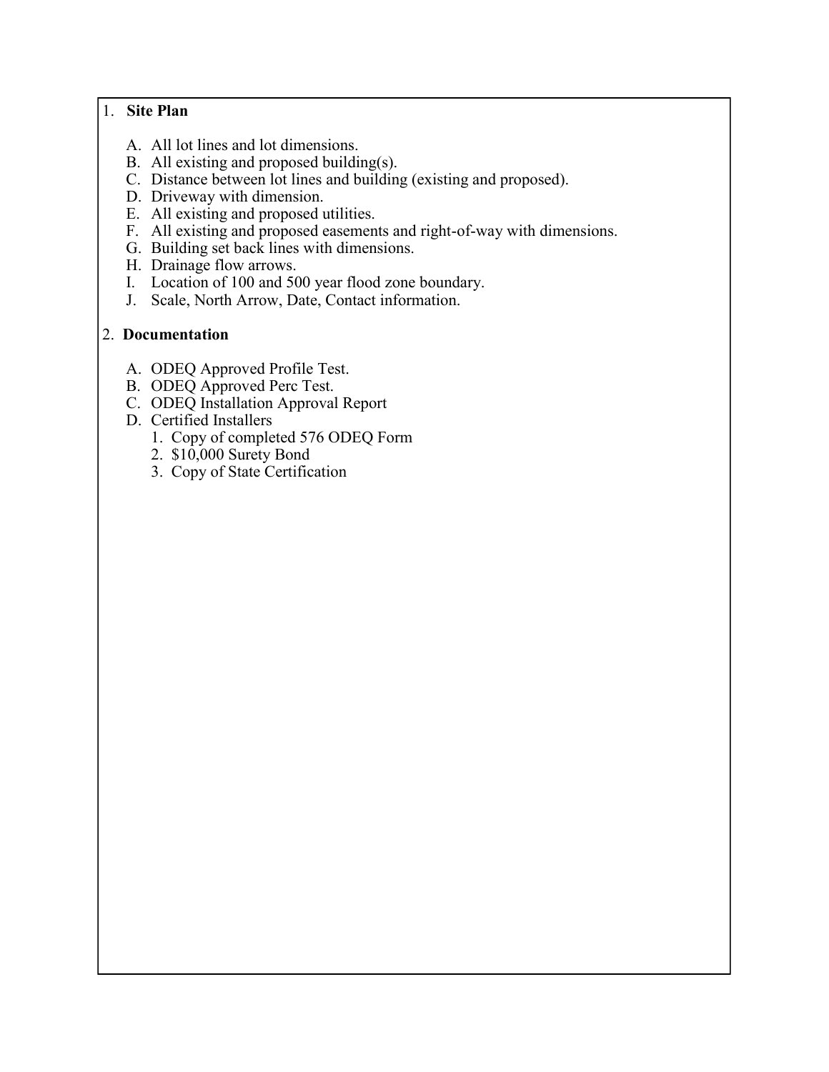#### 1. **Site Plan**

- A. All lot lines and lot dimensions.
- B. All existing and proposed building(s).
- C. Distance between lot lines and building (existing and proposed).
- D. Driveway with dimension.
- E. All existing and proposed utilities.
- F. All existing and proposed easements and right-of-way with dimensions.
- G. Building set back lines with dimensions.
- H. Drainage flow arrows.
- I. Location of 100 and 500 year flood zone boundary.
- J. Scale, North Arrow, Date, Contact information.

### 2. **Documentation**

- A. ODEQ Approved Profile Test.
- B. ODEQ Approved Perc Test.
- C. ODEQ Installation Approval Report
- D. Certified Installers
	- 1. Copy of completed 576 ODEQ Form
	- 2. \$10,000 Surety Bond
	- 3. Copy of State Certification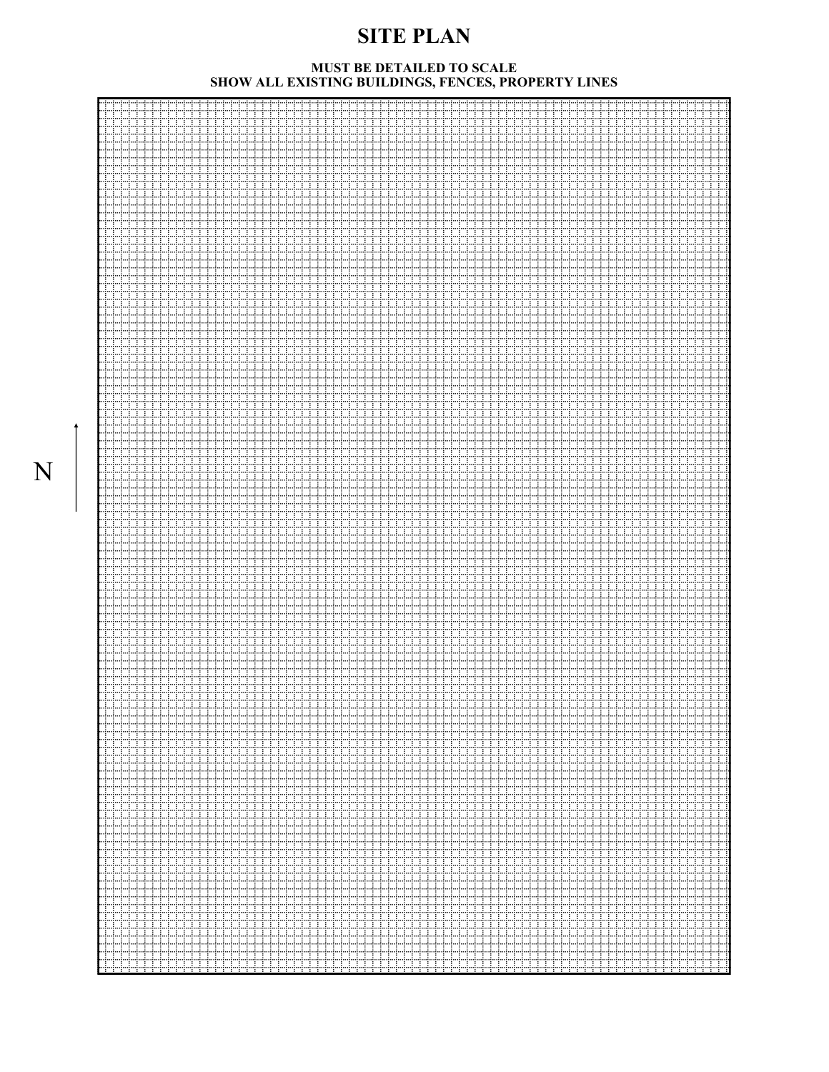# **SITE PLAN**

#### **MUST BE DETAILED TO SCALE SHOW ALL EXISTING BUILDINGS, FENCES, PROPERTY LINES**

N